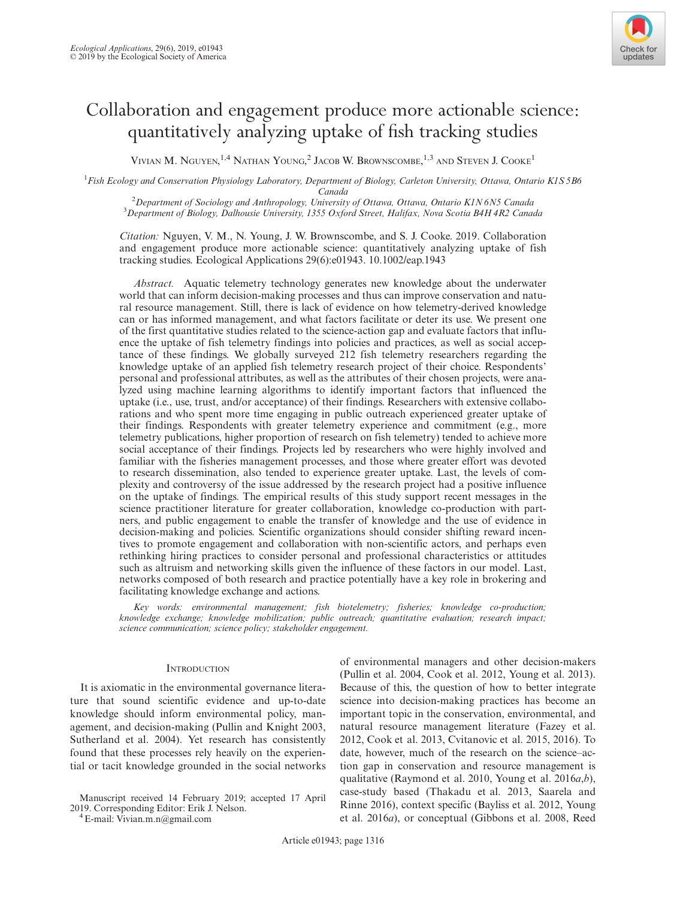

# Collaboration and engagement produce more actionable science: quantitatively analyzing uptake of fish tracking studies

VIVIAN M. NGUYEN,<sup>1,4</sup> NATHAN YOUNG,<sup>2</sup> JACOB W. BROWNSCOMBE,<sup>1,3</sup> AND STEVEN J. COOKE<sup>1</sup>

<sup>1</sup>Fish Ecology and Conservation Physiology Laboratory, Department of Biology, Carleton University, Ottawa, Ontario K1S 5B6 Canada<br><sup>2</sup> Department of Sociology and Anthropology, University

 $\mu$  2 Department of Sociology and Anthropology, University of Ottawa, Ottawa, Ontario K1N 6N5 Canada 3 Department of Biology, Dalhousia University 1355 Oxford Street, Halifax, Nova Scotia B4H 4D2 Cana <sup>3</sup>Department of Biology, Dalhousie University, 1355 Oxford Street, Halifax, Nova Scotia B4H 4R2 Canada

Citation: Nguyen, V. M., N. Young, J. W. Brownscombe, and S. J. Cooke. 2019. Collaboration and engagement produce more actionable science: quantitatively analyzing uptake of fish tracking studies. Ecological Applications 29(6):e01943. [10.1002/eap.1943](info:doi/10.1002/eap.1943)

Abstract. Aquatic telemetry technology generates new knowledge about the underwater world that can inform decision-making processes and thus can improve conservation and natural resource management. Still, there is lack of evidence on how telemetry-derived knowledge can or has informed management, and what factors facilitate or deter its use. We present one of the first quantitative studies related to the science-action gap and evaluate factors that influence the uptake of fish telemetry findings into policies and practices, as well as social acceptance of these findings. We globally surveyed 212 fish telemetry researchers regarding the knowledge uptake of an applied fish telemetry research project of their choice. Respondents' personal and professional attributes, as well as the attributes of their chosen projects, were analyzed using machine learning algorithms to identify important factors that influenced the uptake (i.e., use, trust, and/or acceptance) of their findings. Researchers with extensive collaborations and who spent more time engaging in public outreach experienced greater uptake of their findings. Respondents with greater telemetry experience and commitment (e.g., more telemetry publications, higher proportion of research on fish telemetry) tended to achieve more social acceptance of their findings. Projects led by researchers who were highly involved and familiar with the fisheries management processes, and those where greater effort was devoted to research dissemination, also tended to experience greater uptake. Last, the levels of complexity and controversy of the issue addressed by the research project had a positive influence on the uptake of findings. The empirical results of this study support recent messages in the science practitioner literature for greater collaboration, knowledge co-production with partners, and public engagement to enable the transfer of knowledge and the use of evidence in decision-making and policies. Scientific organizations should consider shifting reward incentives to promote engagement and collaboration with non-scientific actors, and perhaps even rethinking hiring practices to consider personal and professional characteristics or attitudes such as altruism and networking skills given the influence of these factors in our model. Last, networks composed of both research and practice potentially have a key role in brokering and facilitating knowledge exchange and actions.

Key words: environmental management; fish biotelemetry; fisheries; knowledge co-production; knowledge exchange; knowledge mobilization; public outreach; quantitative evaluation; research impact; science communication; science policy; stakeholder engagement.

## **INTRODUCTION**

It is axiomatic in the environmental governance literature that sound scientific evidence and up-to-date knowledge should inform environmental policy, management, and decision-making (Pullin and Knight 2003, Sutherland et al. 2004). Yet research has consistently found that these processes rely heavily on the experiential or tacit knowledge grounded in the social networks

Manuscript received 14 February 2019; accepted 17 April

 $4E$ -mail: [Vivian.m.n@gmail.com](mailto:)

of environmental managers and other decision-makers (Pullin et al. 2004, Cook et al. 2012, Young et al. 2013). Because of this, the question of how to better integrate science into decision-making practices has become an important topic in the conservation, environmental, and natural resource management literature (Fazey et al. 2012, Cook et al. 2013, Cvitanovic et al. 2015, 2016). To date, however, much of the research on the science–action gap in conservation and resource management is qualitative (Raymond et al. 2010, Young et al. 2016a,b), case-study based (Thakadu et al. 2013, Saarela and Rinne 2016), context specific (Bayliss et al. 2012, Young et al. 2016a), or conceptual (Gibbons et al. 2008, Reed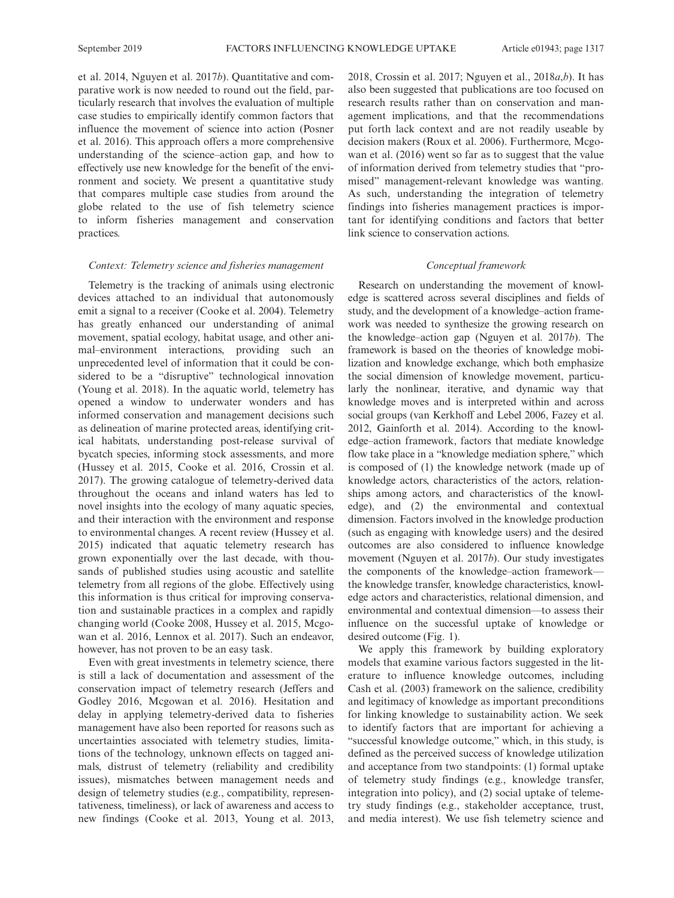et al. 2014, Nguyen et al. 2017b). Quantitative and comparative work is now needed to round out the field, particularly research that involves the evaluation of multiple case studies to empirically identify common factors that influence the movement of science into action (Posner et al. 2016). This approach offers a more comprehensive understanding of the science–action gap, and how to effectively use new knowledge for the benefit of the environment and society. We present a quantitative study that compares multiple case studies from around the globe related to the use of fish telemetry science to inform fisheries management and conservation practices.

## Context: Telemetry science and fisheries management

Telemetry is the tracking of animals using electronic devices attached to an individual that autonomously emit a signal to a receiver (Cooke et al. 2004). Telemetry has greatly enhanced our understanding of animal movement, spatial ecology, habitat usage, and other animal–environment interactions, providing such an unprecedented level of information that it could be considered to be a "disruptive" technological innovation (Young et al. 2018). In the aquatic world, telemetry has opened a window to underwater wonders and has informed conservation and management decisions such as delineation of marine protected areas, identifying critical habitats, understanding post-release survival of bycatch species, informing stock assessments, and more (Hussey et al. 2015, Cooke et al. 2016, Crossin et al. 2017). The growing catalogue of telemetry-derived data throughout the oceans and inland waters has led to novel insights into the ecology of many aquatic species, and their interaction with the environment and response to environmental changes. A recent review (Hussey et al. 2015) indicated that aquatic telemetry research has grown exponentially over the last decade, with thousands of published studies using acoustic and satellite telemetry from all regions of the globe. Effectively using this information is thus critical for improving conservation and sustainable practices in a complex and rapidly changing world (Cooke 2008, Hussey et al. 2015, Mcgowan et al. 2016, Lennox et al. 2017). Such an endeavor, however, has not proven to be an easy task.

Even with great investments in telemetry science, there is still a lack of documentation and assessment of the conservation impact of telemetry research (Jeffers and Godley 2016, Mcgowan et al. 2016). Hesitation and delay in applying telemetry-derived data to fisheries management have also been reported for reasons such as uncertainties associated with telemetry studies, limitations of the technology, unknown effects on tagged animals, distrust of telemetry (reliability and credibility issues), mismatches between management needs and design of telemetry studies (e.g., compatibility, representativeness, timeliness), or lack of awareness and access to new findings (Cooke et al. 2013, Young et al. 2013, 2018, Crossin et al. 2017; Nguyen et al.,  $2018a,b$ ). It has also been suggested that publications are too focused on research results rather than on conservation and management implications, and that the recommendations put forth lack context and are not readily useable by decision makers (Roux et al. 2006). Furthermore, Mcgowan et al. (2016) went so far as to suggest that the value of information derived from telemetry studies that "promised" management-relevant knowledge was wanting. As such, understanding the integration of telemetry findings into fisheries management practices is important for identifying conditions and factors that better link science to conservation actions.

## Conceptual framework

Research on understanding the movement of knowledge is scattered across several disciplines and fields of study, and the development of a knowledge–action framework was needed to synthesize the growing research on the knowledge–action gap (Nguyen et al. 2017b). The framework is based on the theories of knowledge mobilization and knowledge exchange, which both emphasize the social dimension of knowledge movement, particularly the nonlinear, iterative, and dynamic way that knowledge moves and is interpreted within and across social groups (van Kerkhoff and Lebel 2006, Fazey et al. 2012, Gainforth et al. 2014). According to the knowledge–action framework, factors that mediate knowledge flow take place in a "knowledge mediation sphere," which is composed of (1) the knowledge network (made up of knowledge actors, characteristics of the actors, relationships among actors, and characteristics of the knowledge), and (2) the environmental and contextual dimension. Factors involved in the knowledge production (such as engaging with knowledge users) and the desired outcomes are also considered to influence knowledge movement (Nguyen et al. 2017b). Our study investigates the components of the knowledge–action framework the knowledge transfer, knowledge characteristics, knowledge actors and characteristics, relational dimension, and environmental and contextual dimension—to assess their influence on the successful uptake of knowledge or desired outcome (Fig. 1).

We apply this framework by building exploratory models that examine various factors suggested in the literature to influence knowledge outcomes, including Cash et al. (2003) framework on the salience, credibility and legitimacy of knowledge as important preconditions for linking knowledge to sustainability action. We seek to identify factors that are important for achieving a "successful knowledge outcome," which, in this study, is defined as the perceived success of knowledge utilization and acceptance from two standpoints: (1) formal uptake of telemetry study findings (e.g., knowledge transfer, integration into policy), and (2) social uptake of telemetry study findings (e.g., stakeholder acceptance, trust, and media interest). We use fish telemetry science and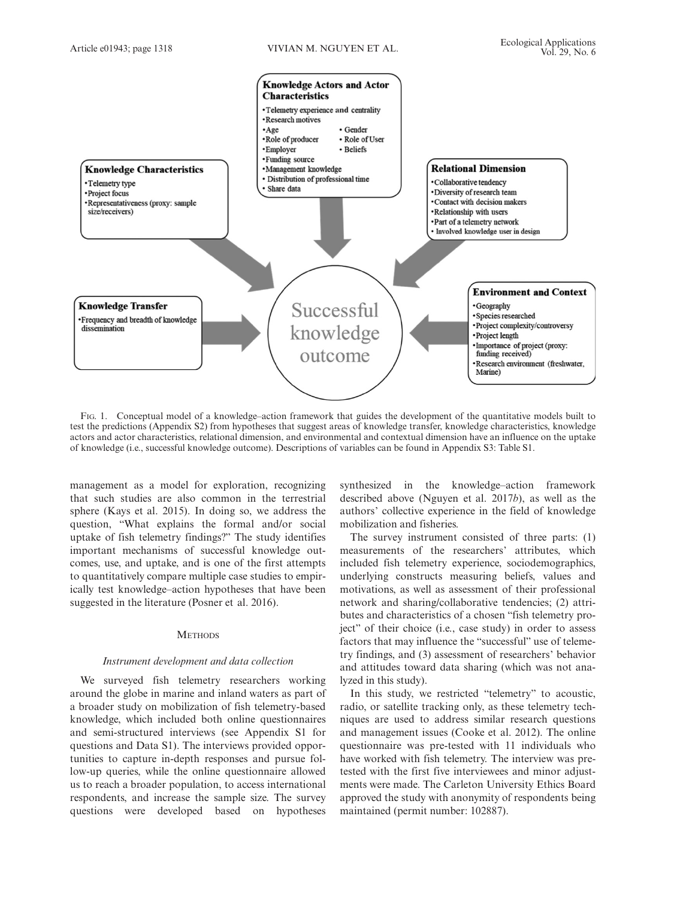

FIG. 1. Conceptual model of a knowledge–action framework that guides the development of the quantitative models built to test the predictions (Appendix S2) from hypotheses that suggest areas of knowledge transfer, knowledge characteristics, knowledge actors and actor characteristics, relational dimension, and environmental and contextual dimension have an influence on the uptake of knowledge (i.e., successful knowledge outcome). Descriptions of variables can be found in Appendix S3: Table S1.

management as a model for exploration, recognizing that such studies are also common in the terrestrial sphere (Kays et al. 2015). In doing so, we address the question, "What explains the formal and/or social uptake of fish telemetry findings?" The study identifies important mechanisms of successful knowledge outcomes, use, and uptake, and is one of the first attempts to quantitatively compare multiple case studies to empirically test knowledge–action hypotheses that have been suggested in the literature (Posner et al. 2016).

## **METHODS**

## Instrument development and data collection

We surveyed fish telemetry researchers working around the globe in marine and inland waters as part of a broader study on mobilization of fish telemetry-based knowledge, which included both online questionnaires and semi-structured interviews (see Appendix S1 for questions and Data S1). The interviews provided opportunities to capture in-depth responses and pursue follow-up queries, while the online questionnaire allowed us to reach a broader population, to access international respondents, and increase the sample size. The survey questions were developed based on hypotheses

synthesized in the knowledge–action framework described above (Nguyen et al. 2017b), as well as the authors' collective experience in the field of knowledge mobilization and fisheries.

The survey instrument consisted of three parts: (1) measurements of the researchers' attributes, which included fish telemetry experience, sociodemographics, underlying constructs measuring beliefs, values and motivations, as well as assessment of their professional network and sharing/collaborative tendencies; (2) attributes and characteristics of a chosen "fish telemetry project" of their choice (i.e., case study) in order to assess factors that may influence the "successful" use of telemetry findings, and (3) assessment of researchers' behavior and attitudes toward data sharing (which was not analyzed in this study).

In this study, we restricted "telemetry" to acoustic, radio, or satellite tracking only, as these telemetry techniques are used to address similar research questions and management issues (Cooke et al. 2012). The online questionnaire was pre-tested with 11 individuals who have worked with fish telemetry. The interview was pretested with the first five interviewees and minor adjustments were made. The Carleton University Ethics Board approved the study with anonymity of respondents being maintained (permit number: 102887).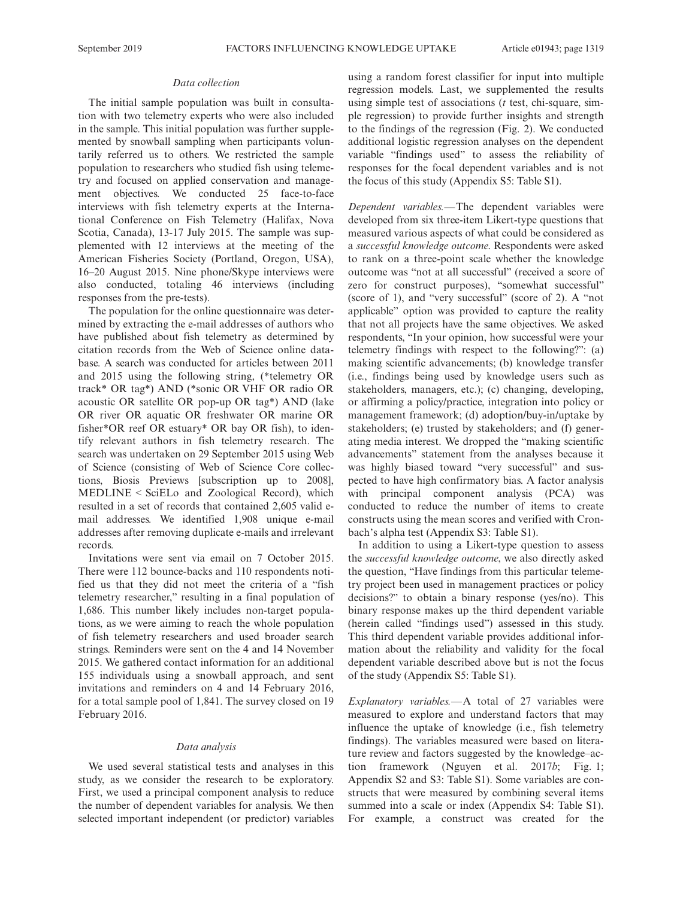## Data collection

The initial sample population was built in consultation with two telemetry experts who were also included in the sample. This initial population was further supplemented by snowball sampling when participants voluntarily referred us to others. We restricted the sample population to researchers who studied fish using telemetry and focused on applied conservation and management objectives. We conducted 25 face-to-face interviews with fish telemetry experts at the International Conference on Fish Telemetry (Halifax, Nova Scotia, Canada), 13-17 July 2015. The sample was supplemented with 12 interviews at the meeting of the American Fisheries Society (Portland, Oregon, USA), 16–20 August 2015. Nine phone/Skype interviews were also conducted, totaling 46 interviews (including responses from the pre-tests).

The population for the online questionnaire was determined by extracting the e-mail addresses of authors who have published about fish telemetry as determined by citation records from the Web of Science online database. A search was conducted for articles between 2011 and 2015 using the following string, (\*telemetry OR track\* OR tag\*) AND (\*sonic OR VHF OR radio OR acoustic OR satellite OR pop-up OR tag\*) AND (lake OR river OR aquatic OR freshwater OR marine OR fisher\*OR reef OR estuary\* OR bay OR fish), to identify relevant authors in fish telemetry research. The search was undertaken on 29 September 2015 using Web of Science (consisting of Web of Science Core collections, Biosis Previews [subscription up to 2008], MEDLINE < SciELo and Zoological Record), which resulted in a set of records that contained 2,605 valid email addresses. We identified 1,908 unique e-mail addresses after removing duplicate e-mails and irrelevant records.

Invitations were sent via email on 7 October 2015. There were 112 bounce-backs and 110 respondents notified us that they did not meet the criteria of a "fish telemetry researcher," resulting in a final population of 1,686. This number likely includes non-target populations, as we were aiming to reach the whole population of fish telemetry researchers and used broader search strings. Reminders were sent on the 4 and 14 November 2015. We gathered contact information for an additional 155 individuals using a snowball approach, and sent invitations and reminders on 4 and 14 February 2016, for a total sample pool of 1,841. The survey closed on 19 February 2016.

## Data analysis

We used several statistical tests and analyses in this study, as we consider the research to be exploratory. First, we used a principal component analysis to reduce the number of dependent variables for analysis. We then selected important independent (or predictor) variables using a random forest classifier for input into multiple regression models. Last, we supplemented the results using simple test of associations  $(t$  test, chi-square, simple regression) to provide further insights and strength to the findings of the regression (Fig. 2). We conducted additional logistic regression analyses on the dependent variable "findings used" to assess the reliability of responses for the focal dependent variables and is not the focus of this study (Appendix S5: Table S1).

Dependent variables.—The dependent variables were developed from six three-item Likert-type questions that measured various aspects of what could be considered as a successful knowledge outcome. Respondents were asked to rank on a three-point scale whether the knowledge outcome was "not at all successful" (received a score of zero for construct purposes), "somewhat successful" (score of 1), and "very successful" (score of 2). A "not applicable" option was provided to capture the reality that not all projects have the same objectives. We asked respondents, "In your opinion, how successful were your telemetry findings with respect to the following?": (a) making scientific advancements; (b) knowledge transfer (i.e., findings being used by knowledge users such as stakeholders, managers, etc.); (c) changing, developing, or affirming a policy/practice, integration into policy or management framework; (d) adoption/buy-in/uptake by stakeholders; (e) trusted by stakeholders; and (f) generating media interest. We dropped the "making scientific advancements" statement from the analyses because it was highly biased toward "very successful" and suspected to have high confirmatory bias. A factor analysis with principal component analysis (PCA) was conducted to reduce the number of items to create constructs using the mean scores and verified with Cronbach's alpha test (Appendix S3: Table S1).

In addition to using a Likert-type question to assess the successful knowledge outcome, we also directly asked the question, "Have findings from this particular telemetry project been used in management practices or policy decisions?" to obtain a binary response (yes/no). This binary response makes up the third dependent variable (herein called "findings used") assessed in this study. This third dependent variable provides additional information about the reliability and validity for the focal dependent variable described above but is not the focus of the study (Appendix S5: Table S1).

Explanatory variables.—A total of 27 variables were measured to explore and understand factors that may influence the uptake of knowledge (i.e., fish telemetry findings). The variables measured were based on literature review and factors suggested by the knowledge–action framework (Nguyen et al. 2017b; Fig. 1; Appendix S2 and S3: Table S1). Some variables are constructs that were measured by combining several items summed into a scale or index (Appendix S4: Table S1). For example, a construct was created for the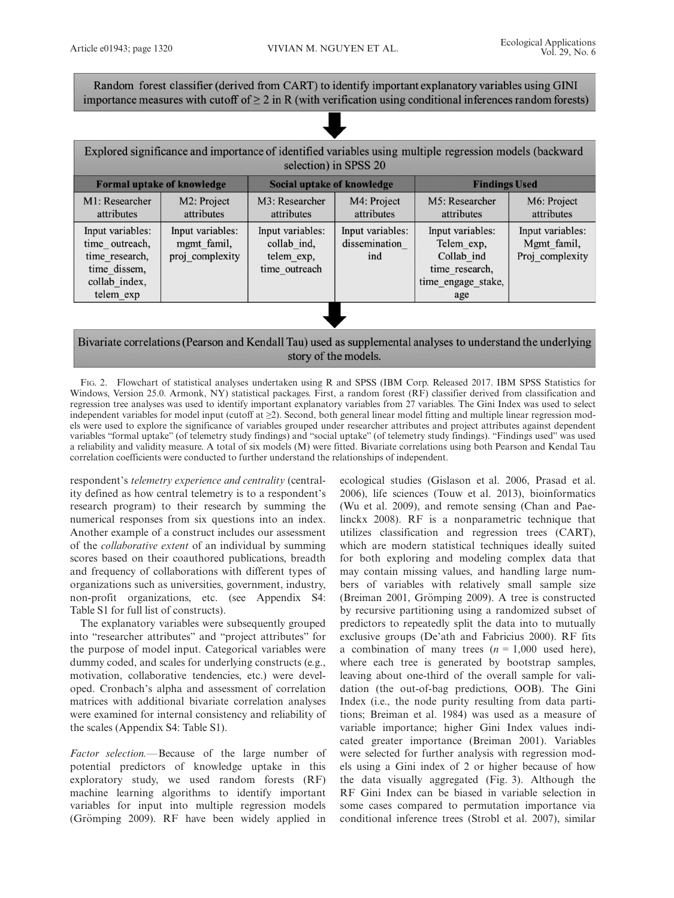Random forest classifier (derived from CART) to identify important explanatory variables using GINI importance measures with cutoff of  $\geq 2$  in R (with verification using conditional inferences random forests)

| Explored significance and importance of identified variables using multiple regression models (backward<br>selection) in SPSS 20 |                                                    |                                                                |                                          |                                                                                             |                                                    |  |  |  |
|----------------------------------------------------------------------------------------------------------------------------------|----------------------------------------------------|----------------------------------------------------------------|------------------------------------------|---------------------------------------------------------------------------------------------|----------------------------------------------------|--|--|--|
|                                                                                                                                  | <b>Formal uptake of knowledge</b>                  | Social uptake of knowledge                                     | <b>Findings Used</b>                     |                                                                                             |                                                    |  |  |  |
| M1: Researcher<br>attributes                                                                                                     | M2: Project<br>attributes                          | M3: Researcher<br><i>attributes</i>                            | M4: Project<br>attributes                | M5: Researcher<br>attributes                                                                | M6: Project<br>attributes                          |  |  |  |
| Input variables:<br>time_outreach,<br>time research,<br>time dissem,<br>collab index,<br>telem exp                               | Input variables:<br>mgmt famil,<br>proj complexity | Input variables:<br>collab ind,<br>telem exp,<br>time outreach | Input variables:<br>dissemination<br>ind | Input variables:<br>Telem exp,<br>Collab ind<br>time research,<br>time_engage_stake,<br>age | Input variables:<br>Mgmt famil,<br>Proj complexity |  |  |  |

# Bivariate correlations (Pearson and Kendall Tau) used as supplemental analyses to understand the underlying story of the models.

FIG. 2. Flowchart of statistical analyses undertaken using R and SPSS (IBM Corp. Released 2017. IBM SPSS Statistics for Windows, Version 25.0. Armonk, NY) statistical packages. First, a random forest  $(R\hat{F})$  classifier derived from classification and regression tree analyses was used to identify important explanatory variables from 27 variables. The Gini Index was used to select independent variables for model input (cutoff at ≥2). Second, both general linear model fitting and multiple linear regression models were used to explore the significance of variables grouped under researcher attributes and project attributes against dependent variables "formal uptake" (of telemetry study findings) and "social uptake" (of telemetry study findings). "Findings used" was used a reliability and validity measure. A total of six models (M) were fitted. Bivariate correlations using both Pearson and Kendal Tau correlation coefficients were conducted to further understand the relationships of independent.

respondent's telemetry experience and centrality (centrality defined as how central telemetry is to a respondent's research program) to their research by summing the numerical responses from six questions into an index. Another example of a construct includes our assessment of the collaborative extent of an individual by summing scores based on their coauthored publications, breadth and frequency of collaborations with different types of organizations such as universities, government, industry, non-profit organizations, etc. (see Appendix S4: Table S1 for full list of constructs).

The explanatory variables were subsequently grouped into "researcher attributes" and "project attributes" for the purpose of model input. Categorical variables were dummy coded, and scales for underlying constructs (e.g., motivation, collaborative tendencies, etc.) were developed. Cronbach's alpha and assessment of correlation matrices with additional bivariate correlation analyses were examined for internal consistency and reliability of the scales (Appendix S4: Table S1).

Factor selection.—Because of the large number of potential predictors of knowledge uptake in this exploratory study, we used random forests (RF) machine learning algorithms to identify important variables for input into multiple regression models (Grömping 2009). RF have been widely applied in

ecological studies (Gislason et al. 2006, Prasad et al. 2006), life sciences (Touw et al. 2013), bioinformatics (Wu et al. 2009), and remote sensing (Chan and Paelinckx 2008). RF is a nonparametric technique that utilizes classification and regression trees (CART), which are modern statistical techniques ideally suited for both exploring and modeling complex data that may contain missing values, and handling large numbers of variables with relatively small sample size (Breiman 2001, Grömping 2009). A tree is constructed by recursive partitioning using a randomized subset of predictors to repeatedly split the data into to mutually exclusive groups (De'ath and Fabricius 2000). RF fits a combination of many trees  $(n = 1,000$  used here), where each tree is generated by bootstrap samples, leaving about one-third of the overall sample for validation (the out-of-bag predictions, OOB). The Gini Index (i.e., the node purity resulting from data partitions; Breiman et al. 1984) was used as a measure of variable importance; higher Gini Index values indicated greater importance (Breiman 2001). Variables were selected for further analysis with regression models using a Gini index of 2 or higher because of how the data visually aggregated (Fig. 3). Although the RF Gini Index can be biased in variable selection in some cases compared to permutation importance via conditional inference trees (Strobl et al. 2007), similar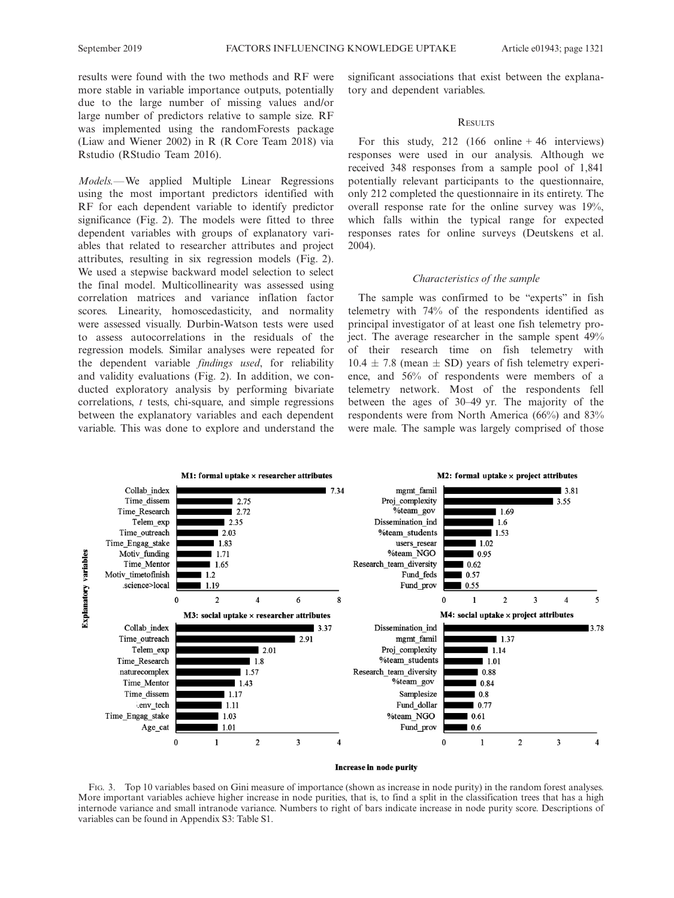results were found with the two methods and RF were more stable in variable importance outputs, potentially due to the large number of missing values and/or large number of predictors relative to sample size. RF was implemented using the randomForests package

Models.—We applied Multiple Linear Regressions using the most important predictors identified with RF for each dependent variable to identify predictor significance (Fig. 2). The models were fitted to three dependent variables with groups of explanatory variables that related to researcher attributes and project attributes, resulting in six regression models (Fig. 2). We used a stepwise backward model selection to select the final model. Multicollinearity was assessed using correlation matrices and variance inflation factor scores. Linearity, homoscedasticity, and normality were assessed visually. Durbin-Watson tests were used to assess autocorrelations in the residuals of the regression models. Similar analyses were repeated for the dependent variable findings used, for reliability and validity evaluations (Fig. 2). In addition, we conducted exploratory analysis by performing bivariate correlations, t tests, chi-square, and simple regressions between the explanatory variables and each dependent variable. This was done to explore and understand the

(Liaw and Wiener 2002) in R (R Core Team 2018) via

Rstudio (RStudio Team 2016).

significant associations that exist between the explanatory and dependent variables.

## **RESULTS**

For this study,  $212 \left(166 \text{ online} + 46 \text{ interviews}\right)$ responses were used in our analysis. Although we received 348 responses from a sample pool of 1,841 potentially relevant participants to the questionnaire, only 212 completed the questionnaire in its entirety. The overall response rate for the online survey was 19%, which falls within the typical range for expected responses rates for online surveys (Deutskens et al. 2004).

## Characteristics of the sample

The sample was confirmed to be "experts" in fish telemetry with 74% of the respondents identified as principal investigator of at least one fish telemetry project. The average researcher in the sample spent 49% of their research time on fish telemetry with  $10.4 \pm 7.8$  (mean  $\pm$  SD) years of fish telemetry experience, and 56% of respondents were members of a telemetry network. Most of the respondents fell between the ages of 30–49 yr. The majority of the respondents were from North America (66%) and 83% were male. The sample was largely comprised of those



## Increase in node purity

FIG. 3. Top 10 variables based on Gini measure of importance (shown as increase in node purity) in the random forest analyses. More important variables achieve higher increase in node purities, that is, to find a split in the classification trees that has a high internode variance and small intranode variance. Numbers to right of bars indicate increase in node purity score. Descriptions of variables can be found in Appendix S3: Table S1.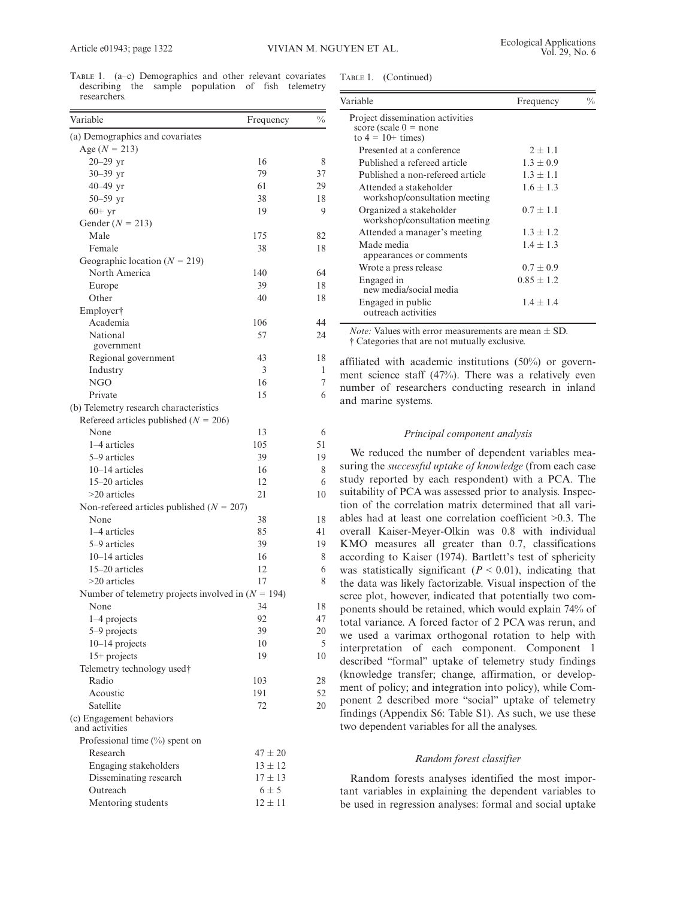TABLE 1. (a–c) Demographics and other relevant covariates describing the sample population of fish telemetry researchers.

| Table 1. | (Continued) |  |
|----------|-------------|--|
|          |             |  |

| Project dissemination activities<br>score (scale $0 =$ none<br>to $4 = 10+ \text{ times}$ |                |                                                                |
|-------------------------------------------------------------------------------------------|----------------|----------------------------------------------------------------|
| Presented at a conference                                                                 | $2 + 1.1$      |                                                                |
| Published a refereed article                                                              | $1.3 \pm 0.9$  |                                                                |
| Published a non-refereed article                                                          | $1.3 \pm 1.1$  |                                                                |
| Attended a stakeholder<br>workshop/consultation meeting                                   | $1.6 \pm 1.3$  |                                                                |
| Organized a stakeholder<br>workshop/consultation meeting                                  | $0.7 + 1.1$    |                                                                |
| Attended a manager's meeting                                                              | $1.3 \pm 1.2$  |                                                                |
| Made media<br>appearances or comments                                                     | $1.4 \pm 1.3$  |                                                                |
| Wrote a press release                                                                     | $0.7 + 0.9$    |                                                                |
| Engaged in<br>new media/social media                                                      | $0.85 \pm 1.2$ |                                                                |
| Engaged in public<br>outreach activities                                                  | $1.4 \pm 1.4$  |                                                                |
|                                                                                           |                | <i>Note:</i> Values with error measurements are mean $\pm$ SD. |

affiliated with academic institutions (50%) or government science staff (47%). There was a relatively even number of researchers conducting research in inland and marine systems.

#### Principal component analysis

We reduced the number of dependent variables measuring the successful uptake of knowledge (from each case study reported by each respondent) with a PCA. The suitability of PCA was assessed prior to analysis. Inspection of the correlation matrix determined that all variables had at least one correlation coefficient >0.3. The overall Kaiser-Meyer-Olkin was 0.8 with individual KMO measures all greater than 0.7, classifications according to Kaiser (1974). Bartlett's test of sphericity was statistically significant ( $P < 0.01$ ), indicating that the data was likely factorizable. Visual inspection of the scree plot, however, indicated that potentially two components should be retained, which would explain 74% of total variance. A forced factor of 2 PCA was rerun, and we used a varimax orthogonal rotation to help with interpretation of each component. Component 1 described "formal" uptake of telemetry study findings (knowledge transfer; change, affirmation, or development of policy; and integration into policy), while Component 2 described more "social" uptake of telemetry findings (Appendix S6: Table S1). As such, we use these two dependent variables for all the analyses.

# Random forest classifier

Random forests analyses identified the most important variables in explaining the dependent variables to be used in regression analyses: formal and social uptake

| Variable                                             | Frequency   | $\frac{0}{0}$ |
|------------------------------------------------------|-------------|---------------|
| (a) Demographics and covariates                      |             |               |
| Age $(N = 213)$                                      |             |               |
| $20 - 29$ yr                                         | 16          | 8             |
| $30 - 39$ yr                                         | 79          | 37            |
| 40 $-49$ yr                                          | 61          | 29            |
| $50 - 59$ yr                                         | 38          | 18            |
| $60+yr$                                              | 19          | 9             |
| Gender ( $N = 213$ )                                 |             |               |
| Male                                                 | 175         | 82            |
| Female                                               | 38          | 18            |
| Geographic location ( $N = 219$ )                    |             |               |
| North America                                        | 140         | 64            |
| Europe                                               | 39          | 18            |
| Other                                                | 40          | 18            |
| Employer†                                            |             |               |
| Academia                                             | 106         | 44            |
| National                                             | 57          | 24            |
| government                                           | 43          | 18            |
| Regional government<br>Industry                      | 3           | 1             |
| NGO                                                  | 16          | 7             |
| Private                                              | 15          | 6             |
| (b) Telemetry research characteristics               |             |               |
| Refereed articles published ( $N = 206$ )            |             |               |
| None                                                 | 13          | 6             |
| 1-4 articles                                         | 105         | 51            |
| 5–9 articles                                         | 39          | 19            |
| $10-14$ articles                                     | 16          | 8             |
| 15-20 articles                                       | 12          | 6             |
| $>20$ articles                                       | 21          | 10            |
| Non-refereed articles published ( $N = 207$ )        |             |               |
| None                                                 | 38          | 18            |
| 1-4 articles                                         | 85          | 41            |
| 5–9 articles                                         | 39          | 19            |
| $10-14$ articles                                     | 16          | 8             |
| 15-20 articles                                       | 12          | 6             |
| >20 articles                                         | 17          | 8             |
| Number of telemetry projects involved in $(N = 194)$ |             |               |
| None                                                 | 34          | 18            |
| $1-4$ projects                                       | 92          | 47            |
| 5-9 projects                                         | 39          | 20            |
| 10-14 projects                                       | 10          | 5             |
| $15+$ projects                                       | 19          | 10            |
| Telemetry technology used†                           |             |               |
| Radio                                                | 103         | 28            |
| Acoustic                                             | 191         | 52            |
| Satellite                                            | 72          | 20            |
| (c) Engagement behaviors<br>and activities           |             |               |
| Professional time $(\%)$ spent on                    |             |               |
| Research                                             | $47 \pm 20$ |               |
| Engaging stakeholders                                | $13 \pm 12$ |               |
| Disseminating research                               | $17 \pm 13$ |               |
| Outreach                                             | $6 \pm 5$   |               |
| Mentoring students                                   | $12 \pm 11$ |               |
|                                                      |             |               |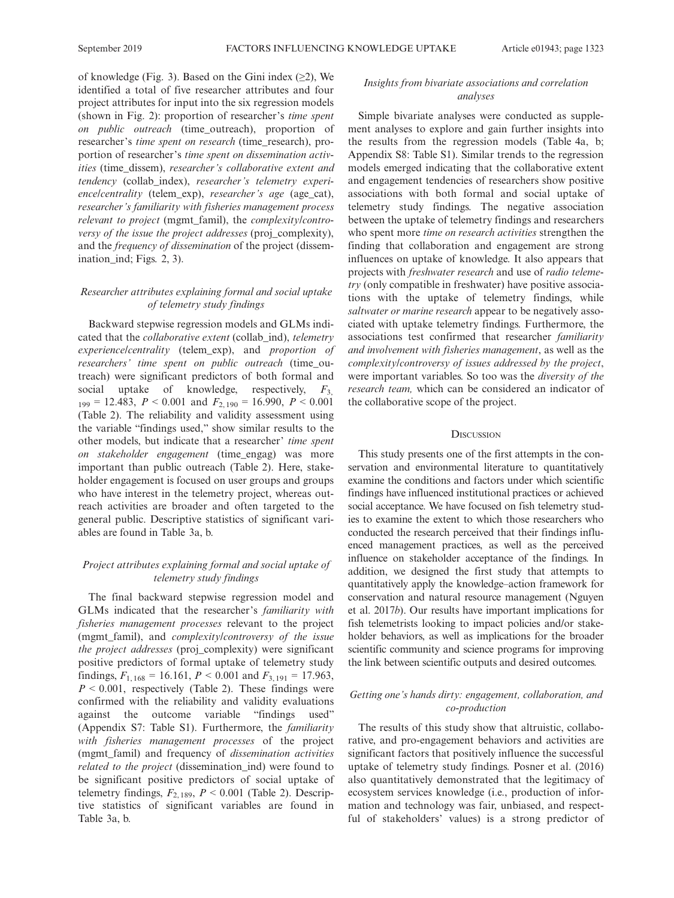of knowledge (Fig. 3). Based on the Gini index  $(\geq 2)$ , We identified a total of five researcher attributes and four project attributes for input into the six regression models (shown in Fig. 2): proportion of researcher's time spent on public outreach (time\_outreach), proportion of researcher's time spent on research (time\_research), proportion of researcher's time spent on dissemination activities (time\_dissem), researcher's collaborative extent and tendency (collab\_index), researcher's telemetry experience/centrality (telem\_exp), researcher's age (age\_cat), researcher's familiarity with fisheries management process relevant to project (mgmt\_famil), the complexity/controversy of the issue the project addresses (proj\_complexity), and the frequency of dissemination of the project (dissemination\_ind; Figs. 2, 3).

# Researcher attributes explaining formal and social uptake of telemetry study findings

Backward stepwise regression models and GLMs indicated that the *collaborative extent* (collab ind), *telemetry* experience/centrality (telem\_exp), and proportion of researchers' time spent on public outreach (time\_outreach) were significant predictors of both formal and social uptake of knowledge, respectively,  $F_3$  $_{199}$  = 12.483,  $P < 0.001$  and  $F_{2,190}$  = 16.990,  $P < 0.001$ (Table 2). The reliability and validity assessment using the variable "findings used," show similar results to the other models, but indicate that a researcher' time spent on stakeholder engagement (time\_engag) was more important than public outreach (Table 2). Here, stakeholder engagement is focused on user groups and groups who have interest in the telemetry project, whereas outreach activities are broader and often targeted to the general public. Descriptive statistics of significant variables are found in Table 3a, b.

# Project attributes explaining formal and social uptake of telemetry study findings

The final backward stepwise regression model and GLMs indicated that the researcher's familiarity with fisheries management processes relevant to the project (mgmt\_famil), and complexity/controversy of the issue the project addresses (proj\_complexity) were significant positive predictors of formal uptake of telemetry study findings,  $F_{1, 168} = 16.161$ ,  $P < 0.001$  and  $F_{3, 191} = 17.963$ ,  $P \le 0.001$ , respectively (Table 2). These findings were confirmed with the reliability and validity evaluations against the outcome variable "findings used" (Appendix S7: Table S1). Furthermore, the familiarity with fisheries management processes of the project (mgmt\_famil) and frequency of dissemination activities related to the project (dissemination\_ind) were found to be significant positive predictors of social uptake of telemetry findings,  $F_{2,189}$ ,  $P < 0.001$  (Table 2). Descriptive statistics of significant variables are found in Table 3a, b.

# Insights from bivariate associations and correlation analyses

Simple bivariate analyses were conducted as supplement analyses to explore and gain further insights into the results from the regression models (Table 4a, b; Appendix S8: Table S1). Similar trends to the regression models emerged indicating that the collaborative extent and engagement tendencies of researchers show positive associations with both formal and social uptake of telemetry study findings. The negative association between the uptake of telemetry findings and researchers who spent more time on research activities strengthen the finding that collaboration and engagement are strong influences on uptake of knowledge. It also appears that projects with freshwater research and use of radio telemetry (only compatible in freshwater) have positive associations with the uptake of telemetry findings, while saltwater or marine research appear to be negatively associated with uptake telemetry findings. Furthermore, the associations test confirmed that researcher familiarity and involvement with fisheries management, as well as the complexity/controversy of issues addressed by the project, were important variables. So too was the diversity of the research team, which can be considered an indicator of the collaborative scope of the project.

## **DISCUSSION**

This study presents one of the first attempts in the conservation and environmental literature to quantitatively examine the conditions and factors under which scientific findings have influenced institutional practices or achieved social acceptance. We have focused on fish telemetry studies to examine the extent to which those researchers who conducted the research perceived that their findings influenced management practices, as well as the perceived influence on stakeholder acceptance of the findings. In addition, we designed the first study that attempts to quantitatively apply the knowledge–action framework for conservation and natural resource management (Nguyen et al. 2017b). Our results have important implications for fish telemetrists looking to impact policies and/or stakeholder behaviors, as well as implications for the broader scientific community and science programs for improving the link between scientific outputs and desired outcomes.

# Getting one's hands dirty: engagement, collaboration, and co-production

The results of this study show that altruistic, collaborative, and pro-engagement behaviors and activities are significant factors that positively influence the successful uptake of telemetry study findings. Posner et al. (2016) also quantitatively demonstrated that the legitimacy of ecosystem services knowledge (i.e., production of information and technology was fair, unbiased, and respectful of stakeholders' values) is a strong predictor of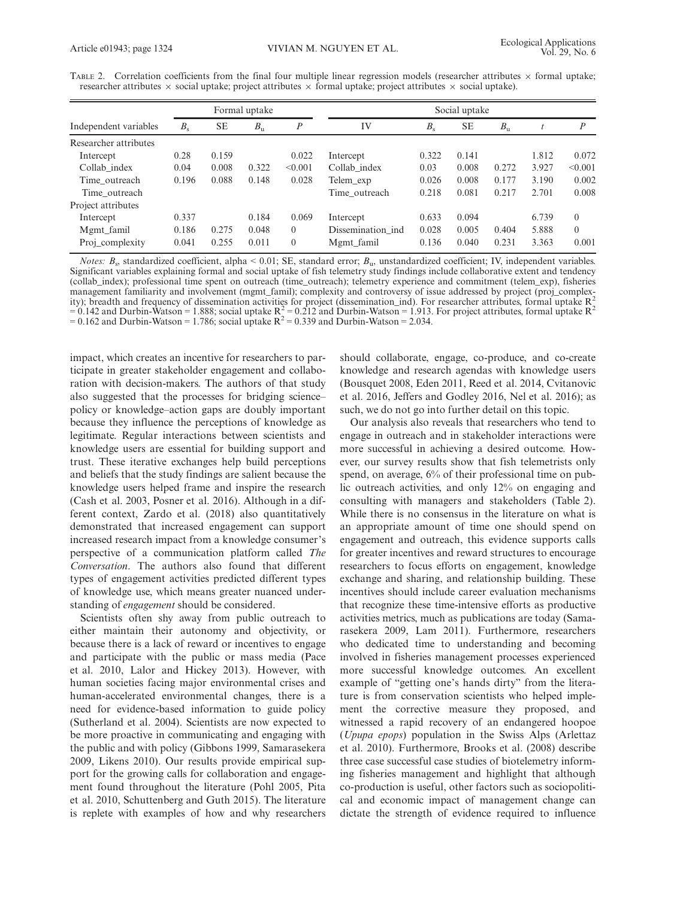|                       |         |           | Formal uptake |                  |                   |         | Social uptake |             |       |                  |
|-----------------------|---------|-----------|---------------|------------------|-------------------|---------|---------------|-------------|-------|------------------|
| Independent variables | $B_{s}$ | <b>SE</b> | $B_{\rm u}$   | $\boldsymbol{P}$ | IV                | $B_{s}$ | <b>SE</b>     | $B_{\rm u}$ |       | $\boldsymbol{P}$ |
| Researcher attributes |         |           |               |                  |                   |         |               |             |       |                  |
| Intercept             | 0.28    | 0.159     |               | 0.022            | Intercept         | 0.322   | 0.141         |             | 1.812 | 0.072            |
| Collab index          | 0.04    | 0.008     | 0.322         | < 0.001          | Collab index      | 0.03    | 0.008         | 0.272       | 3.927 | < 0.001          |
| Time outreach         | 0.196   | 0.088     | 0.148         | 0.028            | Telem_exp         | 0.026   | 0.008         | 0.177       | 3.190 | 0.002            |
| Time outreach         |         |           |               |                  | Time outreach     | 0.218   | 0.081         | 0.217       | 2.701 | 0.008            |
| Project attributes    |         |           |               |                  |                   |         |               |             |       |                  |
| Intercept             | 0.337   |           | 0.184         | 0.069            | Intercept         | 0.633   | 0.094         |             | 6.739 | $\Omega$         |
| Mgmt famil            | 0.186   | 0.275     | 0.048         | $\Omega$         | Dissemination ind | 0.028   | 0.005         | 0.404       | 5.888 | $\theta$         |
| Proj_complexity       | 0.041   | 0.255     | 0.011         | $\theta$         | Mgmt famil        | 0.136   | 0.040         | 0.231       | 3.363 | 0.001            |

TABLE 2. Correlation coefficients from the final four multiple linear regression models (researcher attributes  $\times$  formal uptake; researcher attributes  $\times$  social uptake; project attributes  $\times$  formal uptake; project attributes  $\times$  social uptake).

*Notes: B<sub>s</sub>*, standardized coefficient, alpha < 0.01; SE, standard error;  $B<sub>u</sub>$ , unstandardized coefficient; IV, independent variables. Significant variables explaining formal and social uptake of fish telemetry study findings include collaborative extent and tendency (collab\_index); professional time spent on outreach (time\_outreach); telemetry experience and commitment (telem\_exp), fisheries management familiarity and involvement (mgmt\_famil); complexity and controversy of issue addressed by project (proj\_complexity); breadth and frequency of dissemination activities for project (dissemination\_ind). For researcher attributes, formal uptake  $R<sub>z</sub>$  $= 0.142$  and Durbin-Watson = 1.888; social uptake  $R^2 = 0.212$  and Durbin-Watson = 1.913. For project attributes, formal uptake  $R^2$ = 0.162 and Durbin-Watson = 1.786; social uptake  $R^2$  = 0.339 and Durbin-Watson = 2.034.

impact, which creates an incentive for researchers to participate in greater stakeholder engagement and collaboration with decision-makers. The authors of that study also suggested that the processes for bridging science– policy or knowledge–action gaps are doubly important because they influence the perceptions of knowledge as legitimate. Regular interactions between scientists and knowledge users are essential for building support and trust. These iterative exchanges help build perceptions and beliefs that the study findings are salient because the knowledge users helped frame and inspire the research (Cash et al. 2003, Posner et al. 2016). Although in a different context, Zardo et al. (2018) also quantitatively demonstrated that increased engagement can support increased research impact from a knowledge consumer's perspective of a communication platform called The Conversation. The authors also found that different types of engagement activities predicted different types of knowledge use, which means greater nuanced understanding of engagement should be considered.

Scientists often shy away from public outreach to either maintain their autonomy and objectivity, or because there is a lack of reward or incentives to engage and participate with the public or mass media (Pace et al. 2010, Lalor and Hickey 2013). However, with human societies facing major environmental crises and human-accelerated environmental changes, there is a need for evidence-based information to guide policy (Sutherland et al. 2004). Scientists are now expected to be more proactive in communicating and engaging with the public and with policy (Gibbons 1999, Samarasekera 2009, Likens 2010). Our results provide empirical support for the growing calls for collaboration and engagement found throughout the literature (Pohl 2005, Pita et al. 2010, Schuttenberg and Guth 2015). The literature is replete with examples of how and why researchers

should collaborate, engage, co-produce, and co-create knowledge and research agendas with knowledge users (Bousquet 2008, Eden 2011, Reed et al. 2014, Cvitanovic et al. 2016, Jeffers and Godley 2016, Nel et al. 2016); as such, we do not go into further detail on this topic.

Our analysis also reveals that researchers who tend to engage in outreach and in stakeholder interactions were more successful in achieving a desired outcome. However, our survey results show that fish telemetrists only spend, on average, 6% of their professional time on public outreach activities, and only 12% on engaging and consulting with managers and stakeholders (Table 2). While there is no consensus in the literature on what is an appropriate amount of time one should spend on engagement and outreach, this evidence supports calls for greater incentives and reward structures to encourage researchers to focus efforts on engagement, knowledge exchange and sharing, and relationship building. These incentives should include career evaluation mechanisms that recognize these time-intensive efforts as productive activities metrics, much as publications are today (Samarasekera 2009, Lam 2011). Furthermore, researchers who dedicated time to understanding and becoming involved in fisheries management processes experienced more successful knowledge outcomes. An excellent example of "getting one's hands dirty" from the literature is from conservation scientists who helped implement the corrective measure they proposed, and witnessed a rapid recovery of an endangered hoopoe (Upupa epops) population in the Swiss Alps (Arlettaz et al. 2010). Furthermore, Brooks et al. (2008) describe three case successful case studies of biotelemetry informing fisheries management and highlight that although co-production is useful, other factors such as sociopolitical and economic impact of management change can dictate the strength of evidence required to influence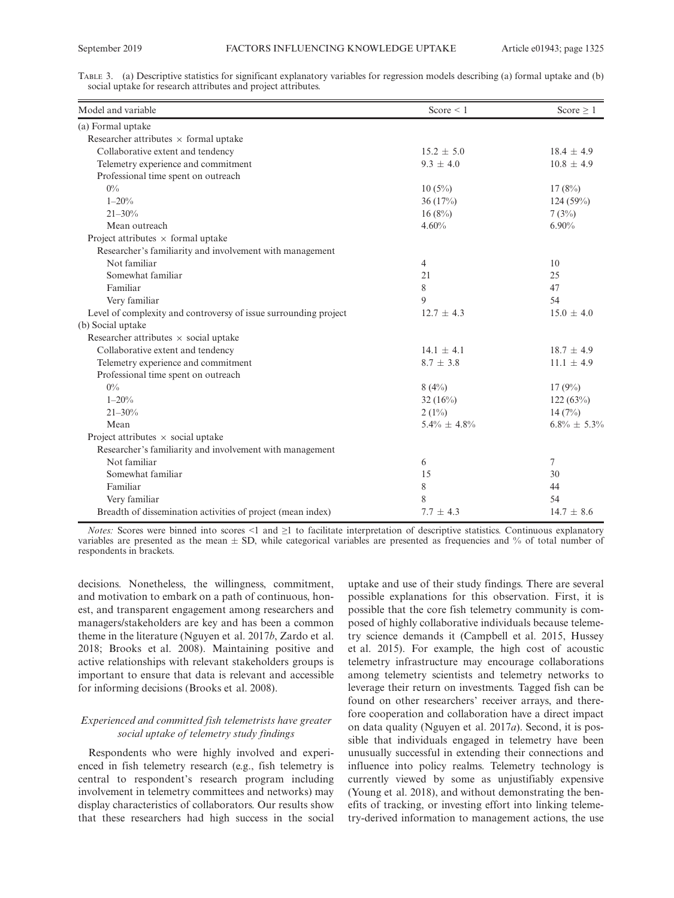| TABLE 3. (a) Descriptive statistics for significant explanatory variables for regression models describing (a) formal uptake and (b) |  |  |  |
|--------------------------------------------------------------------------------------------------------------------------------------|--|--|--|
| social uptake for research attributes and project attributes.                                                                        |  |  |  |

| Model and variable                                               | Score $\leq 1$    | Score $\geq 1$    |
|------------------------------------------------------------------|-------------------|-------------------|
| (a) Formal uptake                                                |                   |                   |
| Researcher attributes $\times$ formal uptake                     |                   |                   |
| Collaborative extent and tendency                                | $15.2 \pm 5.0$    | $18.4 \pm 4.9$    |
| Telemetry experience and commitment                              | $9.3 + 4.0$       | $10.8 \pm 4.9$    |
| Professional time spent on outreach                              |                   |                   |
| $0\%$                                                            | $10(5\%)$         | 17(8%)            |
| $1 - 20%$                                                        | 36(17%)           | 124(59%)          |
| $21 - 30%$                                                       | 16(8%)            | 7(3%)             |
| Mean outreach                                                    | 4.60%             | 6.90%             |
| Project attributes $\times$ formal uptake                        |                   |                   |
| Researcher's familiarity and involvement with management         |                   |                   |
| Not familiar                                                     | 4                 | 10                |
| Somewhat familiar                                                | 21                | 25                |
| Familiar                                                         | 8                 | 47                |
| Very familiar                                                    | 9                 | 54                |
| Level of complexity and controversy of issue surrounding project | $12.7 \pm 4.3$    | $15.0 \pm 4.0$    |
| (b) Social uptake                                                |                   |                   |
| Researcher attributes $\times$ social uptake                     |                   |                   |
| Collaborative extent and tendency                                | $14.1 + 4.1$      | $18.7 \pm 4.9$    |
| Telemetry experience and commitment                              | $8.7 \pm 3.8$     | $11.1 \pm 4.9$    |
| Professional time spent on outreach                              |                   |                   |
| $0\%$                                                            | 8(4%)             | 17(9%)            |
| $1 - 20%$                                                        | 32 $(16\%)$       | 122(63%)          |
| $21 - 30%$                                                       | $2(1\%)$          | 14(7%)            |
| Mean                                                             | $5.4\% \pm 4.8\%$ | $6.8\% \pm 5.3\%$ |
| Project attributes $\times$ social uptake                        |                   |                   |
| Researcher's familiarity and involvement with management         |                   |                   |
| Not familiar                                                     | 6                 | 7                 |
| Somewhat familiar                                                | 15                | 30                |
| Familiar                                                         | 8                 | 44                |
| Very familiar                                                    | 8                 | 54                |
| Breadth of dissemination activities of project (mean index)      | $7.7 \pm 4.3$     | $14.7 \pm 8.6$    |

*Notes:* Scores were binned into scores <1 and  $\geq$ 1 to facilitate interpretation of descriptive statistics. Continuous explanatory variables are presented as the mean  $\pm$  SD, while categorical variables are presented as frequencies and % of total number of respondents in brackets.

decisions. Nonetheless, the willingness, commitment, and motivation to embark on a path of continuous, honest, and transparent engagement among researchers and managers/stakeholders are key and has been a common theme in the literature (Nguyen et al. 2017b, Zardo et al. 2018; Brooks et al. 2008). Maintaining positive and active relationships with relevant stakeholders groups is important to ensure that data is relevant and accessible for informing decisions (Brooks et al. 2008).

## Experienced and committed fish telemetrists have greater social uptake of telemetry study findings

Respondents who were highly involved and experienced in fish telemetry research (e.g., fish telemetry is central to respondent's research program including involvement in telemetry committees and networks) may display characteristics of collaborators. Our results show that these researchers had high success in the social uptake and use of their study findings. There are several possible explanations for this observation. First, it is possible that the core fish telemetry community is composed of highly collaborative individuals because telemetry science demands it (Campbell et al. 2015, Hussey et al. 2015). For example, the high cost of acoustic telemetry infrastructure may encourage collaborations among telemetry scientists and telemetry networks to leverage their return on investments. Tagged fish can be found on other researchers' receiver arrays, and therefore cooperation and collaboration have a direct impact on data quality (Nguyen et al. 2017a). Second, it is possible that individuals engaged in telemetry have been unusually successful in extending their connections and influence into policy realms. Telemetry technology is currently viewed by some as unjustifiably expensive (Young et al. 2018), and without demonstrating the benefits of tracking, or investing effort into linking telemetry-derived information to management actions, the use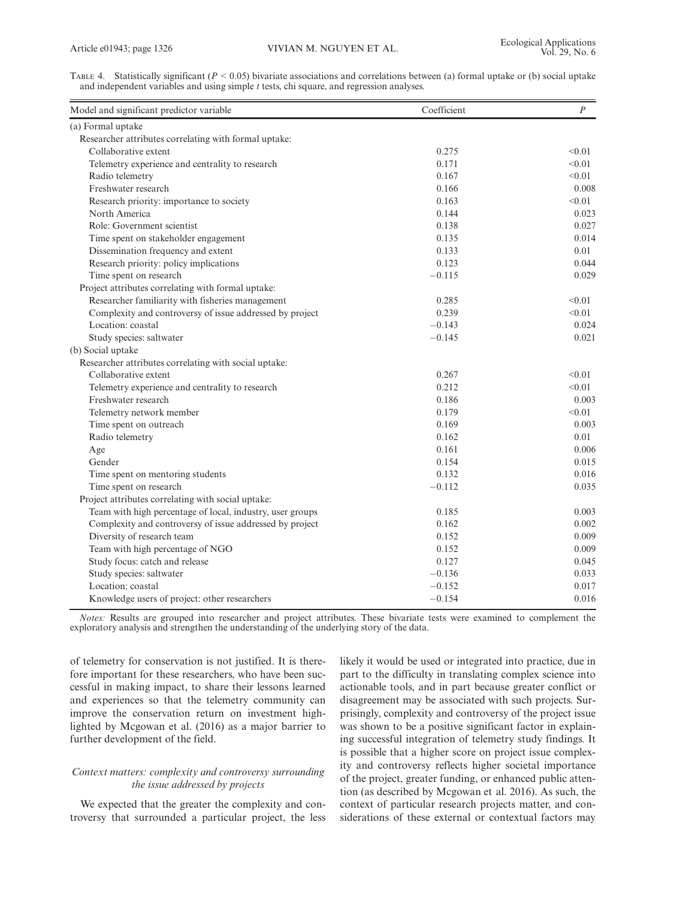TABLE 4. Statistically significant ( $P < 0.05$ ) bivariate associations and correlations between (a) formal uptake or (b) social uptake and independent variables and using simple  $t$  tests, chi square, and regression analyses.

| (a) Formal uptake<br>Researcher attributes correlating with formal uptake:<br>Collaborative extent<br>0.275<br>< 0.01<br>< 0.01<br>Telemetry experience and centrality to research<br>0.171<br>Radio telemetry<br>0.167<br>< 0.01<br>Freshwater research<br>0.166<br>Research priority: importance to society<br>0.163<br>< 0.01<br>North America<br>0.144<br>Role: Government scientist<br>0.138<br>Time spent on stakeholder engagement<br>0.135<br>Dissemination frequency and extent<br>0.133<br>Research priority: policy implications<br>0.123<br>Time spent on research<br>$-0.115$<br>Project attributes correlating with formal uptake:<br>Researcher familiarity with fisheries management<br>< 0.01<br>0.285<br>Complexity and controversy of issue addressed by project<br>0.239<br>< 0.01<br>Location: coastal<br>$-0.143$<br>Study species: saltwater<br>$-0.145$<br>(b) Social uptake<br>Researcher attributes correlating with social uptake:<br>Collaborative extent<br>0.267<br>< 0.01<br>0.212<br>< 0.01<br>Telemetry experience and centrality to research<br>Freshwater research<br>0.186<br>Telemetry network member<br>0.179<br>< 0.01<br>Time spent on outreach<br>0.169<br>Radio telemetry<br>0.162<br>0.161<br>Age<br>Gender<br>0.154<br>Time spent on mentoring students<br>0.132<br>Time spent on research<br>$-0.112$<br>Project attributes correlating with social uptake:<br>Team with high percentage of local, industry, user groups<br>0.185<br>Complexity and controversy of issue addressed by project<br>0.162<br>Diversity of research team<br>0.152<br>Team with high percentage of NGO<br>0.152<br>Study focus: catch and release<br>0.127<br>Study species: saltwater<br>$-0.136$<br>Location: coastal<br>$-0.152$<br>Knowledge users of project: other researchers<br>$-0.154$ | Model and significant predictor variable | Coefficient | $\boldsymbol{P}$ |
|--------------------------------------------------------------------------------------------------------------------------------------------------------------------------------------------------------------------------------------------------------------------------------------------------------------------------------------------------------------------------------------------------------------------------------------------------------------------------------------------------------------------------------------------------------------------------------------------------------------------------------------------------------------------------------------------------------------------------------------------------------------------------------------------------------------------------------------------------------------------------------------------------------------------------------------------------------------------------------------------------------------------------------------------------------------------------------------------------------------------------------------------------------------------------------------------------------------------------------------------------------------------------------------------------------------------------------------------------------------------------------------------------------------------------------------------------------------------------------------------------------------------------------------------------------------------------------------------------------------------------------------------------------------------------------------------------------------------------------------------------------------------------------------------------------------------------|------------------------------------------|-------------|------------------|
|                                                                                                                                                                                                                                                                                                                                                                                                                                                                                                                                                                                                                                                                                                                                                                                                                                                                                                                                                                                                                                                                                                                                                                                                                                                                                                                                                                                                                                                                                                                                                                                                                                                                                                                                                                                                                          |                                          |             |                  |
|                                                                                                                                                                                                                                                                                                                                                                                                                                                                                                                                                                                                                                                                                                                                                                                                                                                                                                                                                                                                                                                                                                                                                                                                                                                                                                                                                                                                                                                                                                                                                                                                                                                                                                                                                                                                                          |                                          |             |                  |
|                                                                                                                                                                                                                                                                                                                                                                                                                                                                                                                                                                                                                                                                                                                                                                                                                                                                                                                                                                                                                                                                                                                                                                                                                                                                                                                                                                                                                                                                                                                                                                                                                                                                                                                                                                                                                          |                                          |             |                  |
|                                                                                                                                                                                                                                                                                                                                                                                                                                                                                                                                                                                                                                                                                                                                                                                                                                                                                                                                                                                                                                                                                                                                                                                                                                                                                                                                                                                                                                                                                                                                                                                                                                                                                                                                                                                                                          |                                          |             |                  |
|                                                                                                                                                                                                                                                                                                                                                                                                                                                                                                                                                                                                                                                                                                                                                                                                                                                                                                                                                                                                                                                                                                                                                                                                                                                                                                                                                                                                                                                                                                                                                                                                                                                                                                                                                                                                                          |                                          |             |                  |
|                                                                                                                                                                                                                                                                                                                                                                                                                                                                                                                                                                                                                                                                                                                                                                                                                                                                                                                                                                                                                                                                                                                                                                                                                                                                                                                                                                                                                                                                                                                                                                                                                                                                                                                                                                                                                          |                                          |             | 0.008            |
|                                                                                                                                                                                                                                                                                                                                                                                                                                                                                                                                                                                                                                                                                                                                                                                                                                                                                                                                                                                                                                                                                                                                                                                                                                                                                                                                                                                                                                                                                                                                                                                                                                                                                                                                                                                                                          |                                          |             |                  |
|                                                                                                                                                                                                                                                                                                                                                                                                                                                                                                                                                                                                                                                                                                                                                                                                                                                                                                                                                                                                                                                                                                                                                                                                                                                                                                                                                                                                                                                                                                                                                                                                                                                                                                                                                                                                                          |                                          |             | 0.023            |
|                                                                                                                                                                                                                                                                                                                                                                                                                                                                                                                                                                                                                                                                                                                                                                                                                                                                                                                                                                                                                                                                                                                                                                                                                                                                                                                                                                                                                                                                                                                                                                                                                                                                                                                                                                                                                          |                                          |             | 0.027            |
|                                                                                                                                                                                                                                                                                                                                                                                                                                                                                                                                                                                                                                                                                                                                                                                                                                                                                                                                                                                                                                                                                                                                                                                                                                                                                                                                                                                                                                                                                                                                                                                                                                                                                                                                                                                                                          |                                          |             | 0.014            |
|                                                                                                                                                                                                                                                                                                                                                                                                                                                                                                                                                                                                                                                                                                                                                                                                                                                                                                                                                                                                                                                                                                                                                                                                                                                                                                                                                                                                                                                                                                                                                                                                                                                                                                                                                                                                                          |                                          |             | 0.01             |
|                                                                                                                                                                                                                                                                                                                                                                                                                                                                                                                                                                                                                                                                                                                                                                                                                                                                                                                                                                                                                                                                                                                                                                                                                                                                                                                                                                                                                                                                                                                                                                                                                                                                                                                                                                                                                          |                                          |             | 0.044            |
|                                                                                                                                                                                                                                                                                                                                                                                                                                                                                                                                                                                                                                                                                                                                                                                                                                                                                                                                                                                                                                                                                                                                                                                                                                                                                                                                                                                                                                                                                                                                                                                                                                                                                                                                                                                                                          |                                          |             | 0.029            |
|                                                                                                                                                                                                                                                                                                                                                                                                                                                                                                                                                                                                                                                                                                                                                                                                                                                                                                                                                                                                                                                                                                                                                                                                                                                                                                                                                                                                                                                                                                                                                                                                                                                                                                                                                                                                                          |                                          |             |                  |
|                                                                                                                                                                                                                                                                                                                                                                                                                                                                                                                                                                                                                                                                                                                                                                                                                                                                                                                                                                                                                                                                                                                                                                                                                                                                                                                                                                                                                                                                                                                                                                                                                                                                                                                                                                                                                          |                                          |             |                  |
|                                                                                                                                                                                                                                                                                                                                                                                                                                                                                                                                                                                                                                                                                                                                                                                                                                                                                                                                                                                                                                                                                                                                                                                                                                                                                                                                                                                                                                                                                                                                                                                                                                                                                                                                                                                                                          |                                          |             |                  |
|                                                                                                                                                                                                                                                                                                                                                                                                                                                                                                                                                                                                                                                                                                                                                                                                                                                                                                                                                                                                                                                                                                                                                                                                                                                                                                                                                                                                                                                                                                                                                                                                                                                                                                                                                                                                                          |                                          |             | 0.024            |
|                                                                                                                                                                                                                                                                                                                                                                                                                                                                                                                                                                                                                                                                                                                                                                                                                                                                                                                                                                                                                                                                                                                                                                                                                                                                                                                                                                                                                                                                                                                                                                                                                                                                                                                                                                                                                          |                                          |             | 0.021            |
|                                                                                                                                                                                                                                                                                                                                                                                                                                                                                                                                                                                                                                                                                                                                                                                                                                                                                                                                                                                                                                                                                                                                                                                                                                                                                                                                                                                                                                                                                                                                                                                                                                                                                                                                                                                                                          |                                          |             |                  |
|                                                                                                                                                                                                                                                                                                                                                                                                                                                                                                                                                                                                                                                                                                                                                                                                                                                                                                                                                                                                                                                                                                                                                                                                                                                                                                                                                                                                                                                                                                                                                                                                                                                                                                                                                                                                                          |                                          |             |                  |
|                                                                                                                                                                                                                                                                                                                                                                                                                                                                                                                                                                                                                                                                                                                                                                                                                                                                                                                                                                                                                                                                                                                                                                                                                                                                                                                                                                                                                                                                                                                                                                                                                                                                                                                                                                                                                          |                                          |             |                  |
|                                                                                                                                                                                                                                                                                                                                                                                                                                                                                                                                                                                                                                                                                                                                                                                                                                                                                                                                                                                                                                                                                                                                                                                                                                                                                                                                                                                                                                                                                                                                                                                                                                                                                                                                                                                                                          |                                          |             |                  |
|                                                                                                                                                                                                                                                                                                                                                                                                                                                                                                                                                                                                                                                                                                                                                                                                                                                                                                                                                                                                                                                                                                                                                                                                                                                                                                                                                                                                                                                                                                                                                                                                                                                                                                                                                                                                                          |                                          |             | 0.003            |
|                                                                                                                                                                                                                                                                                                                                                                                                                                                                                                                                                                                                                                                                                                                                                                                                                                                                                                                                                                                                                                                                                                                                                                                                                                                                                                                                                                                                                                                                                                                                                                                                                                                                                                                                                                                                                          |                                          |             |                  |
|                                                                                                                                                                                                                                                                                                                                                                                                                                                                                                                                                                                                                                                                                                                                                                                                                                                                                                                                                                                                                                                                                                                                                                                                                                                                                                                                                                                                                                                                                                                                                                                                                                                                                                                                                                                                                          |                                          |             | 0.003            |
|                                                                                                                                                                                                                                                                                                                                                                                                                                                                                                                                                                                                                                                                                                                                                                                                                                                                                                                                                                                                                                                                                                                                                                                                                                                                                                                                                                                                                                                                                                                                                                                                                                                                                                                                                                                                                          |                                          |             | 0.01             |
|                                                                                                                                                                                                                                                                                                                                                                                                                                                                                                                                                                                                                                                                                                                                                                                                                                                                                                                                                                                                                                                                                                                                                                                                                                                                                                                                                                                                                                                                                                                                                                                                                                                                                                                                                                                                                          |                                          |             | 0.006            |
|                                                                                                                                                                                                                                                                                                                                                                                                                                                                                                                                                                                                                                                                                                                                                                                                                                                                                                                                                                                                                                                                                                                                                                                                                                                                                                                                                                                                                                                                                                                                                                                                                                                                                                                                                                                                                          |                                          |             | 0.015            |
|                                                                                                                                                                                                                                                                                                                                                                                                                                                                                                                                                                                                                                                                                                                                                                                                                                                                                                                                                                                                                                                                                                                                                                                                                                                                                                                                                                                                                                                                                                                                                                                                                                                                                                                                                                                                                          |                                          |             | 0.016            |
|                                                                                                                                                                                                                                                                                                                                                                                                                                                                                                                                                                                                                                                                                                                                                                                                                                                                                                                                                                                                                                                                                                                                                                                                                                                                                                                                                                                                                                                                                                                                                                                                                                                                                                                                                                                                                          |                                          |             | 0.035            |
|                                                                                                                                                                                                                                                                                                                                                                                                                                                                                                                                                                                                                                                                                                                                                                                                                                                                                                                                                                                                                                                                                                                                                                                                                                                                                                                                                                                                                                                                                                                                                                                                                                                                                                                                                                                                                          |                                          |             |                  |
|                                                                                                                                                                                                                                                                                                                                                                                                                                                                                                                                                                                                                                                                                                                                                                                                                                                                                                                                                                                                                                                                                                                                                                                                                                                                                                                                                                                                                                                                                                                                                                                                                                                                                                                                                                                                                          |                                          |             | 0.003            |
|                                                                                                                                                                                                                                                                                                                                                                                                                                                                                                                                                                                                                                                                                                                                                                                                                                                                                                                                                                                                                                                                                                                                                                                                                                                                                                                                                                                                                                                                                                                                                                                                                                                                                                                                                                                                                          |                                          |             | 0.002            |
|                                                                                                                                                                                                                                                                                                                                                                                                                                                                                                                                                                                                                                                                                                                                                                                                                                                                                                                                                                                                                                                                                                                                                                                                                                                                                                                                                                                                                                                                                                                                                                                                                                                                                                                                                                                                                          |                                          |             | 0.009            |
|                                                                                                                                                                                                                                                                                                                                                                                                                                                                                                                                                                                                                                                                                                                                                                                                                                                                                                                                                                                                                                                                                                                                                                                                                                                                                                                                                                                                                                                                                                                                                                                                                                                                                                                                                                                                                          |                                          |             | 0.009            |
|                                                                                                                                                                                                                                                                                                                                                                                                                                                                                                                                                                                                                                                                                                                                                                                                                                                                                                                                                                                                                                                                                                                                                                                                                                                                                                                                                                                                                                                                                                                                                                                                                                                                                                                                                                                                                          |                                          |             | 0.045            |
|                                                                                                                                                                                                                                                                                                                                                                                                                                                                                                                                                                                                                                                                                                                                                                                                                                                                                                                                                                                                                                                                                                                                                                                                                                                                                                                                                                                                                                                                                                                                                                                                                                                                                                                                                                                                                          |                                          |             | 0.033            |
|                                                                                                                                                                                                                                                                                                                                                                                                                                                                                                                                                                                                                                                                                                                                                                                                                                                                                                                                                                                                                                                                                                                                                                                                                                                                                                                                                                                                                                                                                                                                                                                                                                                                                                                                                                                                                          |                                          |             | 0.017            |
|                                                                                                                                                                                                                                                                                                                                                                                                                                                                                                                                                                                                                                                                                                                                                                                                                                                                                                                                                                                                                                                                                                                                                                                                                                                                                                                                                                                                                                                                                                                                                                                                                                                                                                                                                                                                                          |                                          |             | 0.016            |

Notes: Results are grouped into researcher and project attributes. These bivariate tests were examined to complement the exploratory analysis and strengthen the understanding of the underlying story of the data.

of telemetry for conservation is not justified. It is therefore important for these researchers, who have been successful in making impact, to share their lessons learned and experiences so that the telemetry community can improve the conservation return on investment highlighted by Mcgowan et al. (2016) as a major barrier to further development of the field.

# Context matters: complexity and controversy surrounding the issue addressed by projects

We expected that the greater the complexity and controversy that surrounded a particular project, the less likely it would be used or integrated into practice, due in part to the difficulty in translating complex science into actionable tools, and in part because greater conflict or disagreement may be associated with such projects. Surprisingly, complexity and controversy of the project issue was shown to be a positive significant factor in explaining successful integration of telemetry study findings. It is possible that a higher score on project issue complexity and controversy reflects higher societal importance of the project, greater funding, or enhanced public attention (as described by Mcgowan et al. 2016). As such, the context of particular research projects matter, and considerations of these external or contextual factors may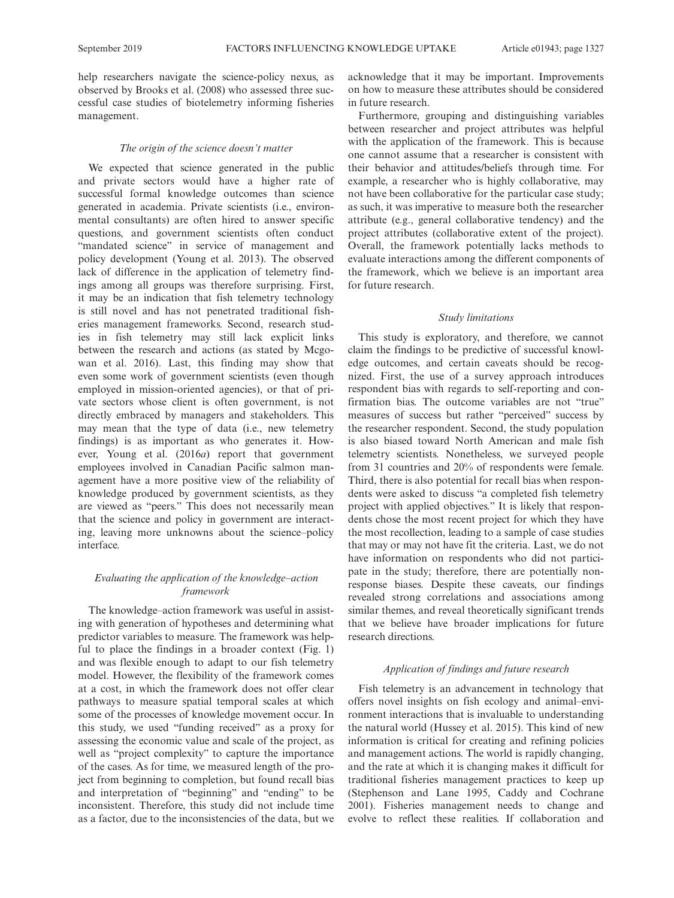help researchers navigate the science-policy nexus, as observed by Brooks et al. (2008) who assessed three successful case studies of biotelemetry informing fisheries management.

#### The origin of the science doesn't matter

We expected that science generated in the public and private sectors would have a higher rate of successful formal knowledge outcomes than science generated in academia. Private scientists (i.e., environmental consultants) are often hired to answer specific questions, and government scientists often conduct "mandated science" in service of management and policy development (Young et al. 2013). The observed lack of difference in the application of telemetry findings among all groups was therefore surprising. First, it may be an indication that fish telemetry technology is still novel and has not penetrated traditional fisheries management frameworks. Second, research studies in fish telemetry may still lack explicit links between the research and actions (as stated by Mcgowan et al. 2016). Last, this finding may show that even some work of government scientists (even though employed in mission-oriented agencies), or that of private sectors whose client is often government, is not directly embraced by managers and stakeholders. This may mean that the type of data (i.e., new telemetry findings) is as important as who generates it. However, Young et al. (2016a) report that government employees involved in Canadian Pacific salmon management have a more positive view of the reliability of knowledge produced by government scientists, as they are viewed as "peers." This does not necessarily mean that the science and policy in government are interacting, leaving more unknowns about the science–policy interface.

# Evaluating the application of the knowledge–action framework

The knowledge–action framework was useful in assisting with generation of hypotheses and determining what predictor variables to measure. The framework was helpful to place the findings in a broader context (Fig. 1) and was flexible enough to adapt to our fish telemetry model. However, the flexibility of the framework comes at a cost, in which the framework does not offer clear pathways to measure spatial temporal scales at which some of the processes of knowledge movement occur. In this study, we used "funding received" as a proxy for assessing the economic value and scale of the project, as well as "project complexity" to capture the importance of the cases. As for time, we measured length of the project from beginning to completion, but found recall bias and interpretation of "beginning" and "ending" to be inconsistent. Therefore, this study did not include time as a factor, due to the inconsistencies of the data, but we acknowledge that it may be important. Improvements on how to measure these attributes should be considered in future research.

Furthermore, grouping and distinguishing variables between researcher and project attributes was helpful with the application of the framework. This is because one cannot assume that a researcher is consistent with their behavior and attitudes/beliefs through time. For example, a researcher who is highly collaborative, may not have been collaborative for the particular case study; as such, it was imperative to measure both the researcher attribute (e.g., general collaborative tendency) and the project attributes (collaborative extent of the project). Overall, the framework potentially lacks methods to evaluate interactions among the different components of the framework, which we believe is an important area for future research.

## Study limitations

This study is exploratory, and therefore, we cannot claim the findings to be predictive of successful knowledge outcomes, and certain caveats should be recognized. First, the use of a survey approach introduces respondent bias with regards to self-reporting and confirmation bias. The outcome variables are not "true" measures of success but rather "perceived" success by the researcher respondent. Second, the study population is also biased toward North American and male fish telemetry scientists. Nonetheless, we surveyed people from 31 countries and 20% of respondents were female. Third, there is also potential for recall bias when respondents were asked to discuss "a completed fish telemetry project with applied objectives." It is likely that respondents chose the most recent project for which they have the most recollection, leading to a sample of case studies that may or may not have fit the criteria. Last, we do not have information on respondents who did not participate in the study; therefore, there are potentially nonresponse biases. Despite these caveats, our findings revealed strong correlations and associations among similar themes, and reveal theoretically significant trends that we believe have broader implications for future research directions.

## Application of findings and future research

Fish telemetry is an advancement in technology that offers novel insights on fish ecology and animal–environment interactions that is invaluable to understanding the natural world (Hussey et al. 2015). This kind of new information is critical for creating and refining policies and management actions. The world is rapidly changing, and the rate at which it is changing makes it difficult for traditional fisheries management practices to keep up (Stephenson and Lane 1995, Caddy and Cochrane 2001). Fisheries management needs to change and evolve to reflect these realities. If collaboration and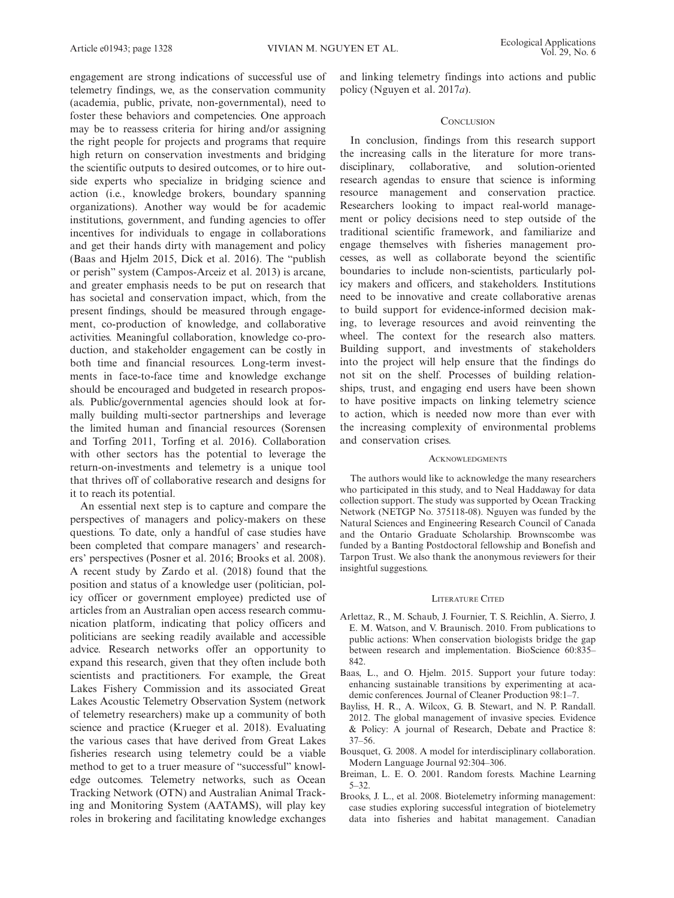engagement are strong indications of successful use of telemetry findings, we, as the conservation community (academia, public, private, non-governmental), need to foster these behaviors and competencies. One approach may be to reassess criteria for hiring and/or assigning the right people for projects and programs that require high return on conservation investments and bridging the scientific outputs to desired outcomes, or to hire outside experts who specialize in bridging science and action (i.e., knowledge brokers, boundary spanning organizations). Another way would be for academic institutions, government, and funding agencies to offer incentives for individuals to engage in collaborations and get their hands dirty with management and policy (Baas and Hjelm 2015, Dick et al. 2016). The "publish or perish" system (Campos-Arceiz et al. 2013) is arcane, and greater emphasis needs to be put on research that has societal and conservation impact, which, from the present findings, should be measured through engagement, co-production of knowledge, and collaborative activities. Meaningful collaboration, knowledge co-production, and stakeholder engagement can be costly in both time and financial resources. Long-term investments in face-to-face time and knowledge exchange should be encouraged and budgeted in research proposals. Public/governmental agencies should look at formally building multi-sector partnerships and leverage the limited human and financial resources (Sorensen and Torfing 2011, Torfing et al. 2016). Collaboration with other sectors has the potential to leverage the return-on-investments and telemetry is a unique tool that thrives off of collaborative research and designs for it to reach its potential.

An essential next step is to capture and compare the perspectives of managers and policy-makers on these questions. To date, only a handful of case studies have been completed that compare managers' and researchers' perspectives (Posner et al. 2016; Brooks et al. 2008). A recent study by Zardo et al. (2018) found that the position and status of a knowledge user (politician, policy officer or government employee) predicted use of articles from an Australian open access research communication platform, indicating that policy officers and politicians are seeking readily available and accessible advice. Research networks offer an opportunity to expand this research, given that they often include both scientists and practitioners. For example, the Great Lakes Fishery Commission and its associated Great Lakes Acoustic Telemetry Observation System (network of telemetry researchers) make up a community of both science and practice (Krueger et al. 2018). Evaluating the various cases that have derived from Great Lakes fisheries research using telemetry could be a viable method to get to a truer measure of "successful" knowledge outcomes. Telemetry networks, such as Ocean Tracking Network (OTN) and Australian Animal Tracking and Monitoring System (AATAMS), will play key roles in brokering and facilitating knowledge exchanges and linking telemetry findings into actions and public policy (Nguyen et al. 2017a).

## **CONCLUSION**

In conclusion, findings from this research support the increasing calls in the literature for more transdisciplinary, collaborative, and solution-oriented research agendas to ensure that science is informing resource management and conservation practice. Researchers looking to impact real-world management or policy decisions need to step outside of the traditional scientific framework, and familiarize and engage themselves with fisheries management processes, as well as collaborate beyond the scientific boundaries to include non-scientists, particularly policy makers and officers, and stakeholders. Institutions need to be innovative and create collaborative arenas to build support for evidence-informed decision making, to leverage resources and avoid reinventing the wheel. The context for the research also matters. Building support, and investments of stakeholders into the project will help ensure that the findings do not sit on the shelf. Processes of building relationships, trust, and engaging end users have been shown to have positive impacts on linking telemetry science to action, which is needed now more than ever with the increasing complexity of environmental problems and conservation crises.

## **ACKNOWLEDGMENTS**

The authors would like to acknowledge the many researchers who participated in this study, and to Neal Haddaway for data collection support. The study was supported by Ocean Tracking Network (NETGP No. 375118-08). Nguyen was funded by the Natural Sciences and Engineering Research Council of Canada and the Ontario Graduate Scholarship. Brownscombe was funded by a Banting Postdoctoral fellowship and Bonefish and Tarpon Trust. We also thank the anonymous reviewers for their insightful suggestions.

#### LITERATURE CITED

- Arlettaz, R., M. Schaub, J. Fournier, T. S. Reichlin, A. Sierro, J. E. M. Watson, and V. Braunisch. 2010. From publications to public actions: When conservation biologists bridge the gap between research and implementation. BioScience 60:835– 842.
- Baas, L., and O. Hjelm. 2015. Support your future today: enhancing sustainable transitions by experimenting at academic conferences. Journal of Cleaner Production 98:1–7.
- Bayliss, H. R., A. Wilcox, G. B. Stewart, and N. P. Randall. 2012. The global management of invasive species. Evidence & Policy: A journal of Research, Debate and Practice 8: 37–56.
- Bousquet, G. 2008. A model for interdisciplinary collaboration. Modern Language Journal 92:304–306.
- Breiman, L. E. O. 2001. Random forests. Machine Learning 5–32.
- Brooks, J. L., et al. 2008. Biotelemetry informing management: case studies exploring successful integration of biotelemetry data into fisheries and habitat management. Canadian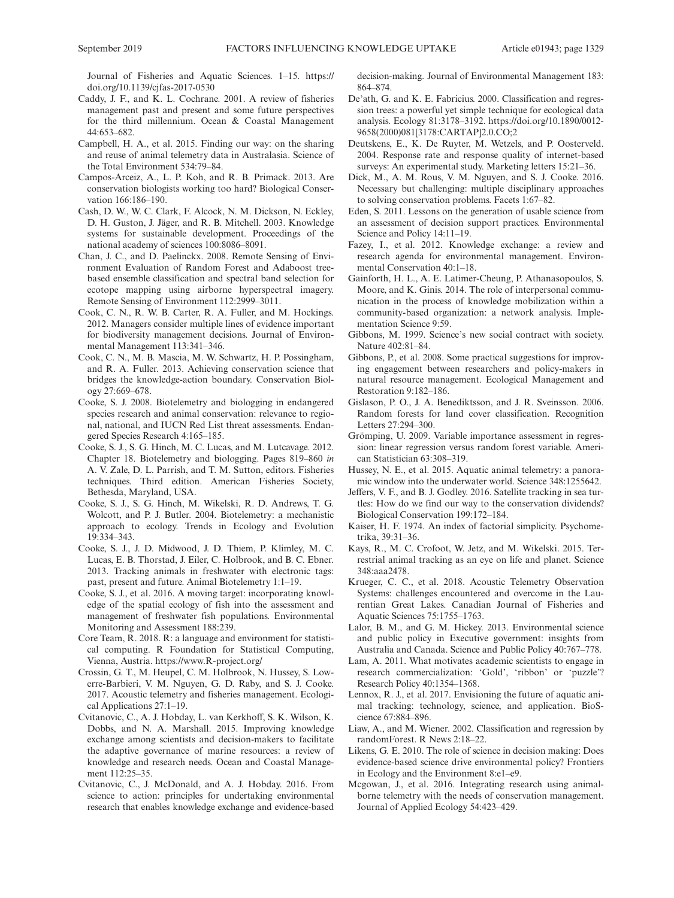Journal of Fisheries and Aquatic Sciences. 1–15. [https://](https://doi.org/10.1139/cjfas-2017-0530) [doi.org/10.1139/cjfas-2017-0530](https://doi.org/10.1139/cjfas-2017-0530)

- Caddy, J. F., and K. L. Cochrane. 2001. A review of fisheries management past and present and some future perspectives for the third millennium. Ocean & Coastal Management 44:653–682.
- Campbell, H. A., et al. 2015. Finding our way: on the sharing and reuse of animal telemetry data in Australasia. Science of the Total Environment 534:79–84.
- Campos-Arceiz, A., L. P. Koh, and R. B. Primack. 2013. Are conservation biologists working too hard? Biological Conservation 166:186–190.
- Cash, D. W., W. C. Clark, F. Alcock, N. M. Dickson, N. Eckley, D. H. Guston, J. Jäger, and R. B. Mitchell. 2003. Knowledge systems for sustainable development. Proceedings of the national academy of sciences 100:8086–8091.
- Chan, J. C., and D. Paelinckx. 2008. Remote Sensing of Environment Evaluation of Random Forest and Adaboost treebased ensemble classification and spectral band selection for ecotope mapping using airborne hyperspectral imagery. Remote Sensing of Environment 112:2999–3011.
- Cook, C. N., R. W. B. Carter, R. A. Fuller, and M. Hockings. 2012. Managers consider multiple lines of evidence important for biodiversity management decisions. Journal of Environmental Management 113:341–346.
- Cook, C. N., M. B. Mascia, M. W. Schwartz, H. P. Possingham, and R. A. Fuller. 2013. Achieving conservation science that bridges the knowledge-action boundary. Conservation Biology 27:669–678.
- Cooke, S. J. 2008. Biotelemetry and biologging in endangered species research and animal conservation: relevance to regional, national, and IUCN Red List threat assessments. Endangered Species Research 4:165–185.
- Cooke, S. J., S. G. Hinch, M. C. Lucas, and M. Lutcavage. 2012. Chapter 18. Biotelemetry and biologging. Pages 819–860 in A. V. Zale, D. L. Parrish, and T. M. Sutton, editors. Fisheries techniques. Third edition. American Fisheries Society, Bethesda, Maryland, USA.
- Cooke, S. J., S. G. Hinch, M. Wikelski, R. D. Andrews, T. G. Wolcott, and P. J. Butler. 2004. Biotelemetry: a mechanistic approach to ecology. Trends in Ecology and Evolution 19:334–343.
- Cooke, S. J., J. D. Midwood, J. D. Thiem, P. Klimley, M. C. Lucas, E. B. Thorstad, J. Eiler, C. Holbrook, and B. C. Ebner. 2013. Tracking animals in freshwater with electronic tags: past, present and future. Animal Biotelemetry 1:1–19.
- Cooke, S. J., et al. 2016. A moving target: incorporating knowledge of the spatial ecology of fish into the assessment and management of freshwater fish populations. Environmental Monitoring and Assessment 188:239.
- Core Team, R. 2018. R: a language and environment for statistical computing. R Foundation for Statistical Computing, Vienna, Austria.<https://www.R-project.org/>
- Crossin, G. T., M. Heupel, C. M. Holbrook, N. Hussey, S. Lowerre-Barbieri, V. M. Nguyen, G. D. Raby, and S. J. Cooke. 2017. Acoustic telemetry and fisheries management. Ecological Applications 27:1–19.
- Cvitanovic, C., A. J. Hobday, L. van Kerkhoff, S. K. Wilson, K. Dobbs, and N. A. Marshall. 2015. Improving knowledge exchange among scientists and decision-makers to facilitate the adaptive governance of marine resources: a review of knowledge and research needs. Ocean and Coastal Management 112:25–35.
- Cvitanovic, C., J. McDonald, and A. J. Hobday. 2016. From science to action: principles for undertaking environmental research that enables knowledge exchange and evidence-based

decision-making. Journal of Environmental Management 183: 864–874.

- De'ath, G. and K. E. Fabricius. 2000. Classification and regression trees: a powerful yet simple technique for ecological data analysis. Ecology 81:3178–3192. [https://doi.org/10.1890/0012-](https://doi.org/10.1890/0012-9658(2000)081[3178:CARTAP]2.0.CO;2) [9658\(2000\)081\[3178:CARTAP\]2.0.CO;2](https://doi.org/10.1890/0012-9658(2000)081[3178:CARTAP]2.0.CO;2)
- Deutskens, E., K. De Ruyter, M. Wetzels, and P. Oosterveld. 2004. Response rate and response quality of internet-based surveys: An experimental study. Marketing letters 15:21–36.
- Dick, M., A. M. Rous, V. M. Nguyen, and S. J. Cooke. 2016. Necessary but challenging: multiple disciplinary approaches to solving conservation problems. Facets 1:67–82.
- Eden, S. 2011. Lessons on the generation of usable science from an assessment of decision support practices. Environmental Science and Policy 14:11–19.
- Fazey, I., et al. 2012. Knowledge exchange: a review and research agenda for environmental management. Environmental Conservation 40:1–18.
- Gainforth, H. L., A. E. Latimer-Cheung, P. Athanasopoulos, S. Moore, and K. Ginis. 2014. The role of interpersonal communication in the process of knowledge mobilization within a community-based organization: a network analysis. Implementation Science 9:59.
- Gibbons, M. 1999. Science's new social contract with society. Nature 402:81–84.
- Gibbons, P., et al. 2008. Some practical suggestions for improving engagement between researchers and policy-makers in natural resource management. Ecological Management and Restoration 9:182–186.
- Gislason, P. O., J. A. Benediktsson, and J. R. Sveinsson. 2006. Random forests for land cover classification. Recognition Letters 27:294–300.
- Grömping, U. 2009. Variable importance assessment in regression: linear regression versus random forest variable. American Statistician 63:308–319.
- Hussey, N. E., et al. 2015. Aquatic animal telemetry: a panoramic window into the underwater world. Science 348:1255642.
- Jeffers, V. F., and B. J. Godley. 2016. Satellite tracking in sea turtles: How do we find our way to the conservation dividends? Biological Conservation 199:172–184.
- Kaiser, H. F. 1974. An index of factorial simplicity. Psychometrika, 39:31–36.
- Kays, R., M. C. Crofoot, W. Jetz, and M. Wikelski. 2015. Terrestrial animal tracking as an eye on life and planet. Science 348:aaa2478.
- Krueger, C. C., et al. 2018. Acoustic Telemetry Observation Systems: challenges encountered and overcome in the Laurentian Great Lakes. Canadian Journal of Fisheries and Aquatic Sciences 75:1755–1763.
- Lalor, B. M., and G. M. Hickey. 2013. Environmental science and public policy in Executive government: insights from Australia and Canada. Science and Public Policy 40:767–778.
- Lam, A. 2011. What motivates academic scientists to engage in research commercialization: 'Gold', 'ribbon' or 'puzzle'? Research Policy 40:1354–1368.
- Lennox, R. J., et al. 2017. Envisioning the future of aquatic animal tracking: technology, science, and application. BioScience 67:884–896.
- Liaw, A., and M. Wiener. 2002. Classification and regression by randomForest. R News 2:18–22.
- Likens, G. E. 2010. The role of science in decision making: Does evidence-based science drive environmental policy? Frontiers in Ecology and the Environment 8:e1–e9.
- Mcgowan, J., et al. 2016. Integrating research using animalborne telemetry with the needs of conservation management. Journal of Applied Ecology 54:423–429.